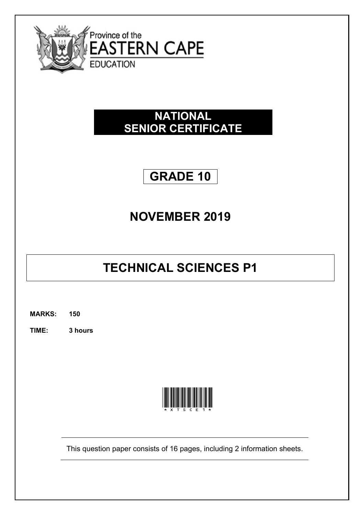

## **NATIONAL SENIOR CERTIFICATE**

## **GRADE 10**

## **NOVEMBER 2019**

# **TECHNICAL SCIENCES P1**

**MARKS: 150**

**TIME: 3 hours** 



This question paper consists of 16 pages, including 2 information sheets.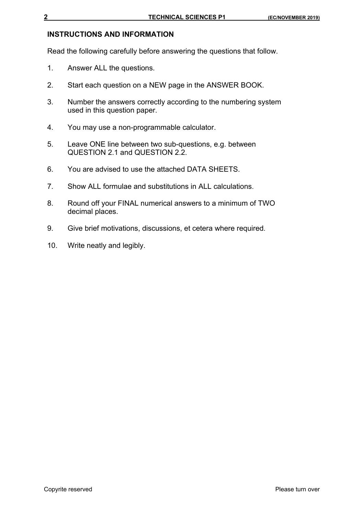## **INSTRUCTIONS AND INFORMATION**

Read the following carefully before answering the questions that follow.

- 1. Answer ALL the questions.
- 2. Start each question on a NEW page in the ANSWER BOOK.
- 3. Number the answers correctly according to the numbering system used in this question paper.
- 4. You may use a non-programmable calculator.
- 5. Leave ONE line between two sub-questions, e.g. between QUESTION 2.1 and QUESTION 2.2.
- 6. You are advised to use the attached DATA SHEETS.
- 7. Show ALL formulae and substitutions in ALL calculations.
- 8. Round off your FINAL numerical answers to a minimum of TWO decimal places.
- 9. Give brief motivations, discussions, et cetera where required.
- 10. Write neatly and legibly.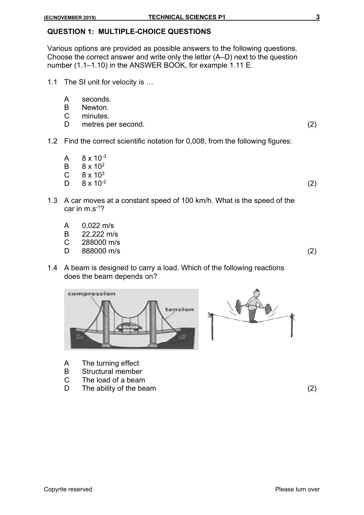## **QUESTION 1: MULTIPLE-CHOICE QUESTIONS**

Various options are provided as possible answers to the following questions. Choose the correct answer and write only the letter (A–D) next to the question number (1.1–1.10) in the ANSWER BOOK, for example 1.11 E.

- 1.1 The SI unit for velocity is …
	- A seconds.
	- B Newton.
	- C minutes.
	- D metres per second. (2)
- 1.2 Find the correct scientific notation for 0,008, from the following figures:
	- A  $8 \times 10^{-3}$
	- B 8 x 102
	- $C = 8 \times 10^3$
	- $D \quad 8 \times 10^{-2}$  (2)
- 1.3 A car moves at a constant speed of 100 km/h. What is the speed of the car in m.s-1?
	- A 0,022 m/s
	- B 22,222 m/s
	- C 288000 m/s
	- D 888000 m/s (2)
- 1.4 A beam is designed to carry a load. Which of the following reactions does the beam depends on?





- A The turning effect
- B Structural member
- C The load of a beam
- D The ability of the beam (2)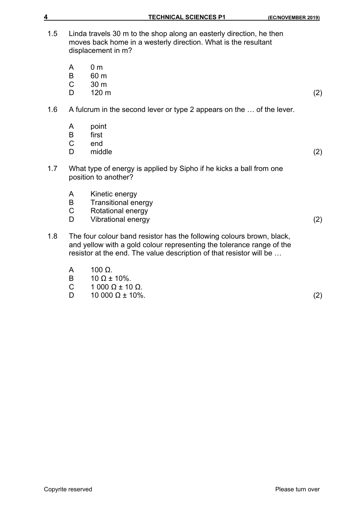| 4   |                               | <b>TECHNICAL SCIENCES P1</b><br>(EC/NOVEMBER 2019)                                                                                                                                                                    |     |
|-----|-------------------------------|-----------------------------------------------------------------------------------------------------------------------------------------------------------------------------------------------------------------------|-----|
| 1.5 |                               | Linda travels 30 m to the shop along an easterly direction, he then<br>moves back home in a westerly direction. What is the resultant<br>displacement in m?                                                           |     |
|     | A<br>B<br>$\mathsf{C}$<br>D   | 0 <sub>m</sub><br>60 m<br>30 m<br>120 m                                                                                                                                                                               | (2) |
| 1.6 |                               | A fulcrum in the second lever or type 2 appears on the  of the lever.                                                                                                                                                 |     |
|     | A<br>B<br>$\overline{C}$<br>D | point<br>first<br>end<br>middle                                                                                                                                                                                       | (2) |
| 1.7 |                               | What type of energy is applied by Sipho if he kicks a ball from one<br>position to another?                                                                                                                           |     |
|     | A<br>B<br>$\mathsf C$<br>D    | Kinetic energy<br><b>Transitional energy</b><br>Rotational energy<br>Vibrational energy                                                                                                                               | (2) |
| 1.8 |                               | The four colour band resistor has the following colours brown, black,<br>and yellow with a gold colour representing the tolerance range of the<br>resistor at the end. The value description of that resistor will be |     |
|     | A<br>B<br>⌒                   | 100 $\Omega$ .<br>$10 \Omega \pm 10\%$ .<br>1.00001100                                                                                                                                                                |     |

C  $1\,000\,\Omega \pm 10\,\Omega$ .<br>D  $10\,000\,\Omega \pm 10\%$  $10\,000\,\Omega \pm 10\%$ . (2)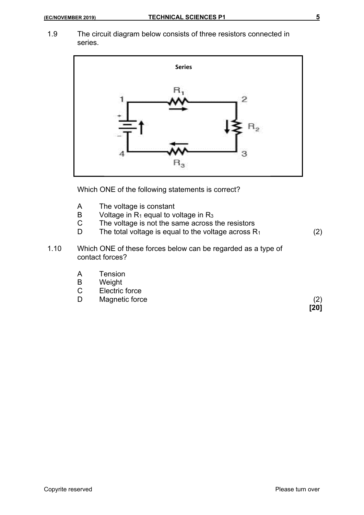1.9 The circuit diagram below consists of three resistors connected in series.



Which ONE of the following statements is correct?

- A The voltage is constant
- B Voltage in  $R_1$  equal to voltage in  $R_3$ <br>C The voltage is not the same across
	- The voltage is not the same across the resistors
- D The total voltage is equal to the voltage across  $R_1$  (2)
- 1.10 Which ONE of these forces below can be regarded as a type of contact forces?
	- A Tension
	- B Weight
	- C Electric force
	- D Magnetic force (2)

**[20]**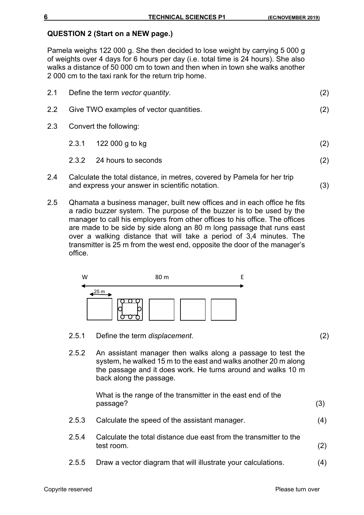#### **QUESTION 2 (Start on a NEW page.)**

Pamela weighs 122 000 g. She then decided to lose weight by carrying 5 000 g of weights over 4 days for 6 hours per day (i.e. total time is 24 hours). She also walks a distance of 50 000 cm to town and then when in town she walks another 2 000 cm to the taxi rank for the return trip home.

| 2.1           |       | Define the term vector quantity.        | (2) |
|---------------|-------|-----------------------------------------|-----|
| $2.2^{\circ}$ |       | Give TWO examples of vector quantities. | (2) |
| 2.3           |       | Convert the following:                  |     |
|               | 2.3.1 | 122 000 g to kg                         | (2) |
|               | 2.3.2 | 24 hours to seconds                     | (2) |
|               |       |                                         |     |

- 2.4 Calculate the total distance, in metres, covered by Pamela for her trip and express your answer in scientific notation. (3)
- 2.5 Qhamata a business manager, built new offices and in each office he fits a radio buzzer system. The purpose of the buzzer is to be used by the manager to call his employers from other offices to his office. The offices are made to be side by side along an 80 m long passage that runs east over a walking distance that will take a period of 3,4 minutes. The transmitter is 25 m from the west end, opposite the door of the manager's office.



- 2.5.1 Define the term *displacement*. (2)
- 2.5.2 An assistant manager then walks along a passage to test the system, he walked 15 m to the east and walks another 20 m along the passage and it does work. He turns around and walks 10 m back along the passage.

What is the range of the transmitter in the east end of the passage? (3)

- 2.5.3 Calculate the speed of the assistant manager. (4)
- 2.5.4 Calculate the total distance due east from the transmitter to the test room. (2)
- 2.5.5 Draw a vector diagram that will illustrate your calculations. (4)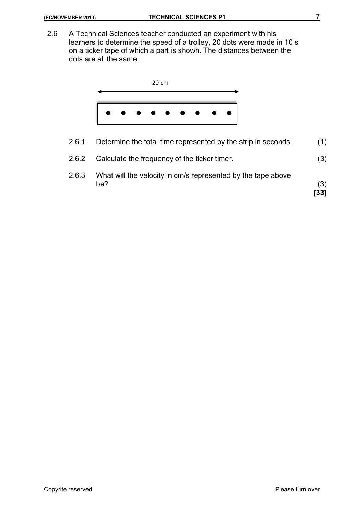2.6 A Technical Sciences teacher conducted an experiment with his learners to determine the speed of a trolley, 20 dots were made in 10 s on a ticker tape of which a part is shown. The distances between the dots are all the same.



2.6.1 Determine the total time represented by the strip in seconds. (1) 2.6.2 Calculate the frequency of the ticker timer. (3) 2.6.3 What will the velocity in cm/s represented by the tape above  $be?$  (3) **[33]**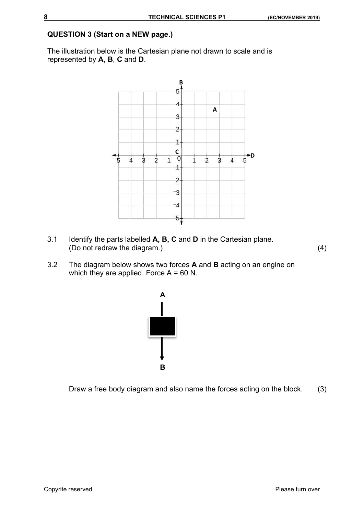#### **QUESTION 3 (Start on a NEW page.)**

The illustration below is the Cartesian plane not drawn to scale and is represented by **A**, **B**, **C** and **D**.



- 3.1 Identify the parts labelled **A, B, C** and **D** in the Cartesian plane. (Do not redraw the diagram.) (4)
- 3.2 The diagram below shows two forces **A** and **B** acting on an engine on which they are applied. Force  $A = 60$  N.



Draw a free body diagram and also name the forces acting on the block. (3)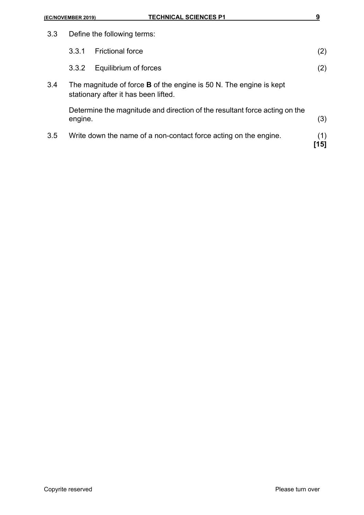| (EC/NOVEMBER 2019) |         | <b>TECHNICAL SCIENCES P1</b>                                                                                      | 9           |  |
|--------------------|---------|-------------------------------------------------------------------------------------------------------------------|-------------|--|
| 3.3                |         | Define the following terms:                                                                                       |             |  |
|                    | 3.3.1   | <b>Frictional force</b>                                                                                           | (2)         |  |
|                    | 3.3.2   | Equilibrium of forces                                                                                             | (2)         |  |
| 3.4                |         | The magnitude of force <b>B</b> of the engine is 50 N. The engine is kept<br>stationary after it has been lifted. |             |  |
|                    | engine. | Determine the magnitude and direction of the resultant force acting on the                                        | (3)         |  |
| 3.5                |         | Write down the name of a non-contact force acting on the engine.                                                  | (1)<br>[15] |  |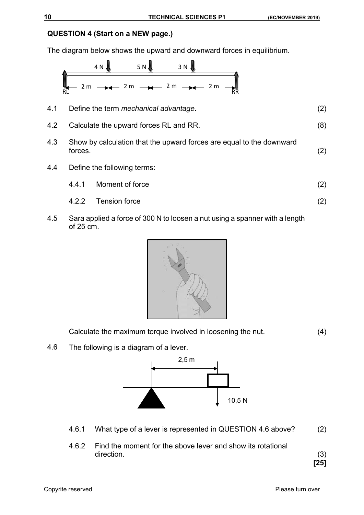## **QUESTION 4 (Start on a NEW page.)**

The diagram below shows the upward and downward forces in equilibrium.



4.5 Sara applied a force of 300 N to loosen a nut using a spanner with a length of 25 cm.



Calculate the maximum torque involved in loosening the nut. (4)

4.6 The following is a diagram of a lever.



- 4.6.1 What type of a lever is represented in QUESTION 4.6 above? (2)
- 4.6.2 Find the moment for the above lever and show its rotational direction. (3)

**[25]**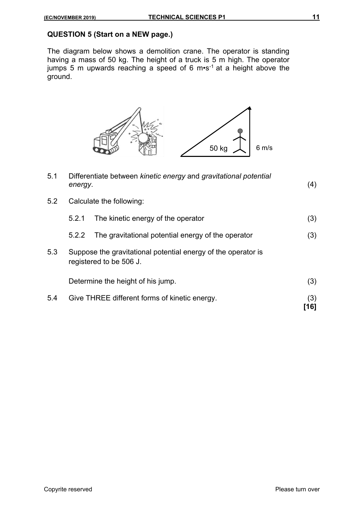#### **QUESTION 5 (Start on a NEW page.)**

The diagram below shows a demolition crane. The operator is standing having a mass of 50 kg. The height of a truck is 5 m high. The operator jumps 5 m upwards reaching a speed of 6 m•s-1 at a height above the ground.



| 5.1 | Differentiate between kinetic energy and gravitational potential<br>energy. |                                                                                          | (4)         |
|-----|-----------------------------------------------------------------------------|------------------------------------------------------------------------------------------|-------------|
| 5.2 | Calculate the following:                                                    |                                                                                          |             |
|     | 5.2.1                                                                       | The kinetic energy of the operator                                                       | (3)         |
|     | 5.2.2                                                                       | The gravitational potential energy of the operator                                       | (3)         |
| 5.3 |                                                                             | Suppose the gravitational potential energy of the operator is<br>registered to be 506 J. |             |
|     |                                                                             | Determine the height of his jump.                                                        | (3)         |
| 5.4 | Give THREE different forms of kinetic energy.                               |                                                                                          | (3)<br>[16] |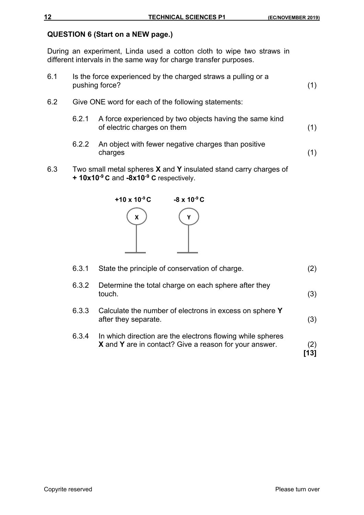## **QUESTION 6 (Start on a NEW page.)**

During an experiment, Linda used a cotton cloth to wipe two straws in different intervals in the same way for charge transfer purposes.

- 6.1 Is the force experienced by the charged straws a pulling or a pushing force? (1)
- 6.2 Give ONE word for each of the following statements:
	- 6.2.1 A force experienced by two objects having the same kind of electric charges on them (1)
	- 6.2.2 An object with fewer negative charges than positive charges (1)
- 6.3 Two small metal spheres **X** and **Y** insulated stand carry charges of **+ 10x10-9 C** and **-8x10-9 C** respectively.



| 6.3.1 | State the principle of conservation of charge.                                                                       | $\left( 2\right)$ |
|-------|----------------------------------------------------------------------------------------------------------------------|-------------------|
| 6.3.2 | Determine the total charge on each sphere after they<br>touch.                                                       | (3)               |
| 6.3.3 | Calculate the number of electrons in excess on sphere Y<br>after they separate.                                      | (3)               |
| 6.3.4 | In which direction are the electrons flowing while spheres<br>X and Y are in contact? Give a reason for your answer. | (2)<br>[13]       |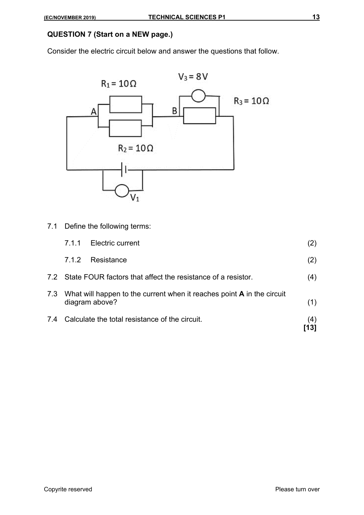## **QUESTION 7 (Start on a NEW page.)**

Consider the electric circuit below and answer the questions that follow.



7.1 Define the following terms:

|     |       |                                                                                                     | [13] |
|-----|-------|-----------------------------------------------------------------------------------------------------|------|
| 7.4 |       | Calculate the total resistance of the circuit.                                                      | (4)  |
|     |       | 7.3 What will happen to the current when it reaches point <b>A</b> in the circuit<br>diagram above? | (1)  |
|     |       | 7.2 State FOUR factors that affect the resistance of a resistor.                                    | (4)  |
|     | 7.1.2 | Resistance                                                                                          | (2)  |
|     | 711   | <b>Electric current</b>                                                                             | (2)  |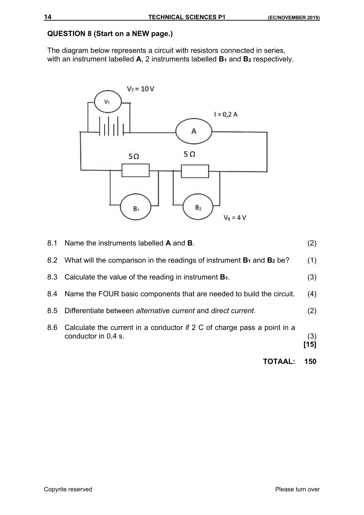## **QUESTION 8 (Start on a NEW page.)**

The diagram below represents a circuit with resistors connected in series, with an instrument labelled **A**, 2 instruments labelled **B**<sub>1</sub> and **B**<sub>2</sub> respectively.



|     | <b>TOTAAL:</b>                                                                                 | 150           |
|-----|------------------------------------------------------------------------------------------------|---------------|
| 8.6 | Calculate the current in a conductor if 2 C of charge pass a point in a<br>conductor in 0.4 s. | (3)<br>$[15]$ |
| 8.5 | Differentiate between alternative current and direct current.                                  | (2)           |
|     | 8.4 Name the FOUR basic components that are needed to build the circuit.                       | (4)           |
|     | 8.3 Calculate the value of the reading in instrument <b>B</b> <sub>1</sub> .                   | (3)           |
|     | 8.2 What will the comparison in the readings of instrument $B_1$ and $B_2$ be?                 | (1)           |
|     | 8.1 Name the instruments labelled <b>A</b> and <b>B</b> .                                      | (2)           |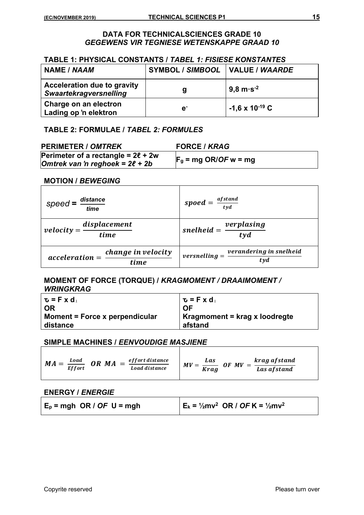#### **DATA FOR TECHNICALSCIENCES GRADE 10**  *GEGEWENS VIR TEGNIESE WETENSKAPPE GRAAD 10*

#### **TABLE 1: PHYSICAL CONSTANTS /** *TABEL 1: FISIESE KONSTANTES*

| <b>NAME / NAAM</b>                                                  | SYMBOL / SIMBOOL   VALUE / WAARDE |                          |
|---------------------------------------------------------------------|-----------------------------------|--------------------------|
| <b>Acceleration due to gravity</b><br><b>Swaartekragversnelling</b> | g                                 | $9,8 \text{ m·s}^{-2}$   |
| Charge on an electron<br>Lading op 'n elektron                      | e <sup>1</sup>                    | $-1,6 \times 10^{-19}$ C |

#### **TABLE 2: FORMULAE /** *TABEL 2: FORMULES*

| <b>PERIMETER / OMTREK</b>               | <b>FORCE / KRAG</b>     |
|-----------------------------------------|-------------------------|
| Perimeter of a rectangle = $2\ell$ + 2w |                         |
| Omtrek van 'n reghoek = $2\ell$ + 2b    | $F_g$ = mg OR/OF w = mg |

#### **MOTION /** *BEWEGING*

| distance<br>$speed =$<br>time                  | spoed = $\frac{afstand}{tyd}$                     |
|------------------------------------------------|---------------------------------------------------|
| $velocity = \frac{displacement}{time}$         | $\frac{1}{t}$ snelheid = $\frac{verplasing}{tyd}$ |
| change in velocity<br>$acceleration =$<br>time | verandering in snelheid<br>$versnelling =$<br>tyd |

#### **MOMENT OF FORCE (TORQUE) /** *KRAGMOMENT / DRAAIMOMENT / WRINGKRAG*

| $\mathbf{u} = \mathbf{F} \times \mathbf{d}_{\perp}$ | $\mathbf{u} = \mathbf{F} \times \mathbf{d}_{\perp}$ |
|-----------------------------------------------------|-----------------------------------------------------|
| OR                                                  | <b>OF</b>                                           |
| Moment = Force x perpendicular<br>distance          | Kragmoment = krag x loodregte<br>afstand            |

#### **SIMPLE MACHINES /** *EENVOUDIGE MASJIENE*

| <b>Load</b><br>$MA =$<br><b>Effort</b> | ef fort distance<br>- OR $MA =$<br><b>Load distance</b> | krag afstand<br>Las<br>OF MV<br>MV<br><b>Kraa</b><br>Las af stand |
|----------------------------------------|---------------------------------------------------------|-------------------------------------------------------------------|
|----------------------------------------|---------------------------------------------------------|-------------------------------------------------------------------|

#### **ENERGY /** *ENERGIE*

| $E_p = mgh$ OR / OF U = mgh | $E_k = \frac{1}{2}mv^2$ OR / OF K = $\frac{1}{2}mv^2$ |
|-----------------------------|-------------------------------------------------------|
|                             |                                                       |